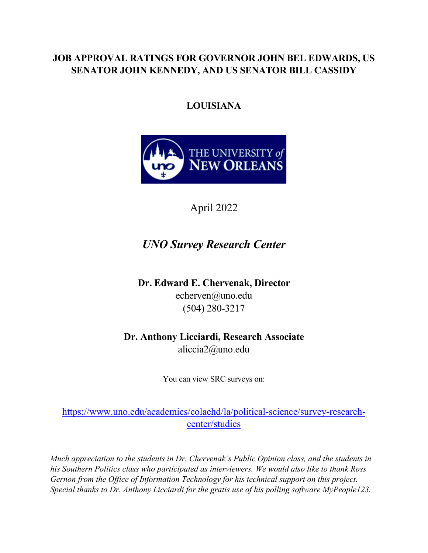### **JOB APPROVAL RATINGS FOR GOVERNOR JOHN BEL EDWARDS, US SENATOR JOHN KENNEDY, AND US SENATOR BILL CASSIDY**

### **LOUISIANA**



April 2022

## *UNO Survey Research Center*

**Dr. Edward E. Chervenak, Director** echerven@uno.edu (504) 280-3217

**Dr. Anthony Licciardi, Research Associate** aliccia2@uno.edu

You can view SRC surveys on:

[https://www.uno.edu/academics/colaehd/la/political-science/survey-research](https://www.uno.edu/academics/colaehd/la/political-science/survey-research-center/studies)[center/studies](https://www.uno.edu/academics/colaehd/la/political-science/survey-research-center/studies)

*Much appreciation to the students in Dr. Chervenak's Public Opinion class, and the students in his Southern Politics class who participated as interviewers. We would also like to thank Ross Gernon from the Office of Information Technology for his technical support on this project. Special thanks to Dr. Anthony Licciardi for the gratis use of his polling software MyPeople123.*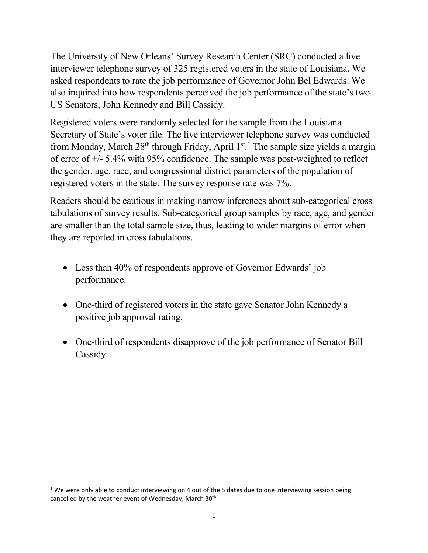The University of New Orleans' Survey Research Center (SRC) conducted a live interviewer telephone survey of 325 registered voters in the state of Louisiana. We asked respondents to rate the job performance of Governor John Bel Edwards. We also inquired into how respondents perceived the job performance of the state's two US Senators, John Kennedy and Bill Cassidy.

Registered voters were randomly selected for the sample from the Louisiana Secretary of State's voter file. The live interviewer telephone survey was conducted from Monday, March 28<sup>th</sup> through Friday, April [1](#page-1-0)<sup>st 1</sup>. The sample size yields a margin of error of +/- 5.4% with 95% confidence. The sample was post-weighted to reflect the gender, age, race, and congressional district parameters of the population of registered voters in the state. The survey response rate was 7%.

Readers should be cautious in making narrow inferences about sub-categorical cross tabulations of survey results. Sub-categorical group samples by race, age, and gender are smaller than the total sample size, thus, leading to wider margins of error when they are reported in cross tabulations.

- Less than 40% of respondents approve of Governor Edwards' job performance.
- One-third of registered voters in the state gave Senator John Kennedy a positive job approval rating.
- One-third of respondents disapprove of the job performance of Senator Bill Cassidy.

<span id="page-1-0"></span><sup>&</sup>lt;sup>1</sup> We were only able to conduct interviewing on 4 out of the 5 dates due to one interviewing session being cancelled by the weather event of Wednesday, March 30<sup>th</sup>.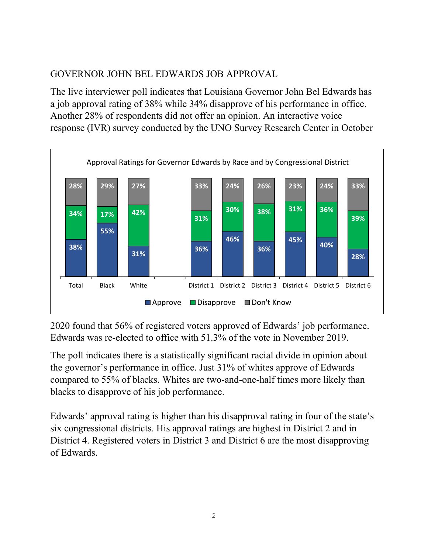### GOVERNOR JOHN BEL EDWARDS JOB APPROVAL

The live interviewer poll indicates that Louisiana Governor John Bel Edwards has a job approval rating of 38% while 34% disapprove of his performance in office. Another 28% of respondents did not offer an opinion. An interactive voice response (IVR) survey conducted by the UNO Survey Research Center in October



2020 found that 56% of registered voters approved of Edwards' job performance. Edwards was re-elected to office with 51.3% of the vote in November 2019.

The poll indicates there is a statistically significant racial divide in opinion about the governor's performance in office. Just 31% of whites approve of Edwards compared to 55% of blacks. Whites are two-and-one-half times more likely than blacks to disapprove of his job performance.

Edwards' approval rating is higher than his disapproval rating in four of the state's six congressional districts. His approval ratings are highest in District 2 and in District 4. Registered voters in District 3 and District 6 are the most disapproving of Edwards.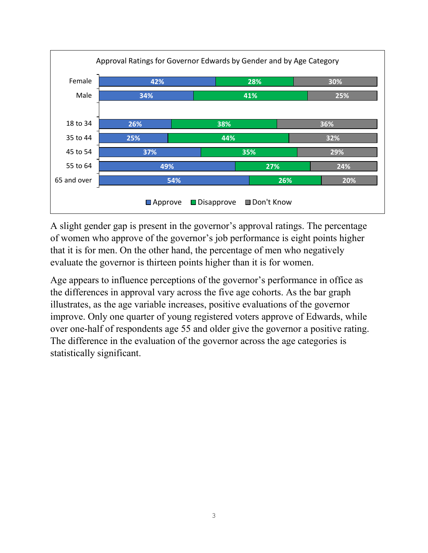

A slight gender gap is present in the governor's approval ratings. The percentage of women who approve of the governor's job performance is eight points higher that it is for men. On the other hand, the percentage of men who negatively evaluate the governor is thirteen points higher than it is for women.

Age appears to influence perceptions of the governor's performance in office as the differences in approval vary across the five age cohorts. As the bar graph illustrates, as the age variable increases, positive evaluations of the governor improve. Only one quarter of young registered voters approve of Edwards, while over one-half of respondents age 55 and older give the governor a positive rating. The difference in the evaluation of the governor across the age categories is statistically significant.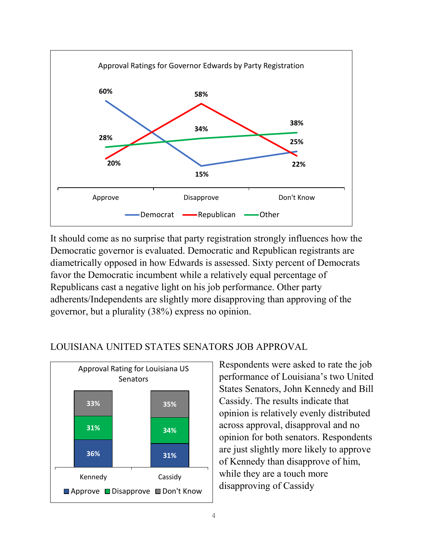

It should come as no surprise that party registration strongly influences how the Democratic governor is evaluated. Democratic and Republican registrants are diametrically opposed in how Edwards is assessed. Sixty percent of Democrats favor the Democratic incumbent while a relatively equal percentage of Republicans cast a negative light on his job performance. Other party adherents/Independents are slightly more disapproving than approving of the governor, but a plurality (38%) express no opinion.



#### LOUISIANA UNITED STATES SENATORS JOB APPROVAL

Respondents were asked to rate the job performance of Louisiana's two United States Senators, John Kennedy and Bill Cassidy. The results indicate that opinion is relatively evenly distributed across approval, disapproval and no opinion for both senators. Respondents are just slightly more likely to approve of Kennedy than disapprove of him, while they are a touch more disapproving of Cassidy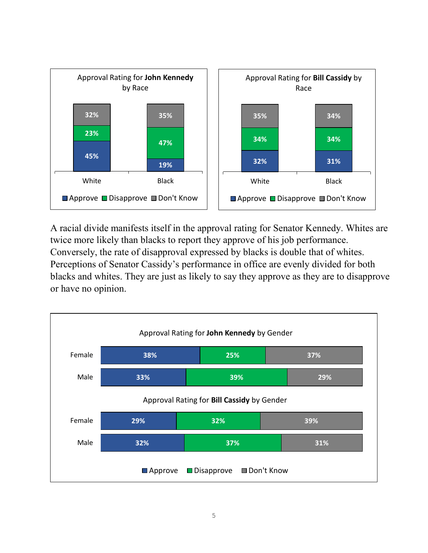

A racial divide manifests itself in the approval rating for Senator Kennedy. Whites are twice more likely than blacks to report they approve of his job performance. Conversely, the rate of disapproval expressed by blacks is double that of whites. Perceptions of Senator Cassidy's performance in office are evenly divided for both blacks and whites. They are just as likely to say they approve as they are to disapprove or have no opinion.

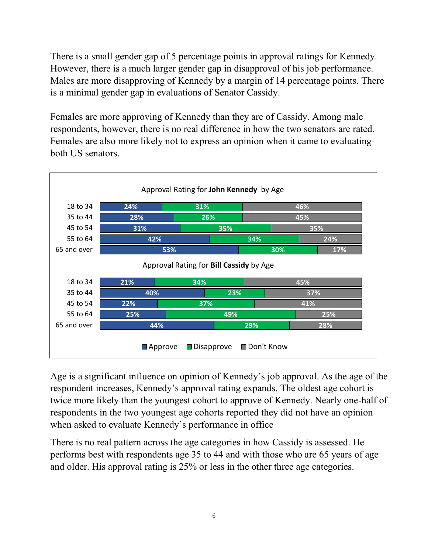There is a small gender gap of 5 percentage points in approval ratings for Kennedy. However, there is a much larger gender gap in disapproval of his job performance. Males are more disapproving of Kennedy by a margin of 14 percentage points. There is a minimal gender gap in evaluations of Senator Cassidy.

Females are more approving of Kennedy than they are of Cassidy. Among male respondents, however, there is no real difference in how the two senators are rated. Females are also more likely not to express an opinion when it came to evaluating both US senators.



Age is a significant influence on opinion of Kennedy's job approval. As the age of the respondent increases, Kennedy's approval rating expands. The oldest age cohort is twice more likely than the youngest cohort to approve of Kennedy. Nearly one-half of respondents in the two youngest age cohorts reported they did not have an opinion when asked to evaluate Kennedy's performance in office

There is no real pattern across the age categories in how Cassidy is assessed. He performs best with respondents age 35 to 44 and with those who are 65 years of age and older. His approval rating is 25% or less in the other three age categories.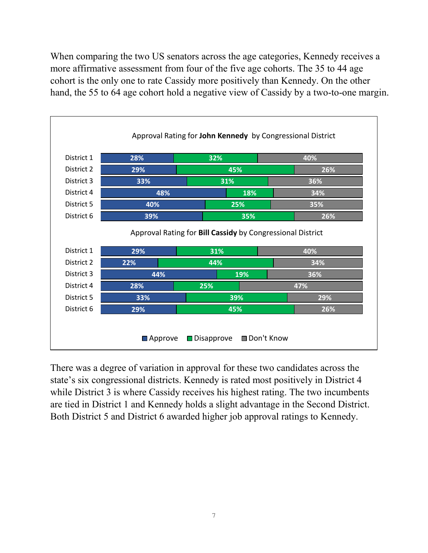When comparing the two US senators across the age categories, Kennedy receives a more affirmative assessment from four of the five age cohorts. The 35 to 44 age cohort is the only one to rate Cassidy more positively than Kennedy. On the other hand, the 55 to 64 age cohort hold a negative view of Cassidy by a two-to-one margin.



There was a degree of variation in approval for these two candidates across the state's six congressional districts. Kennedy is rated most positively in District 4 while District 3 is where Cassidy receives his highest rating. The two incumbents are tied in District 1 and Kennedy holds a slight advantage in the Second District. Both District 5 and District 6 awarded higher job approval ratings to Kennedy.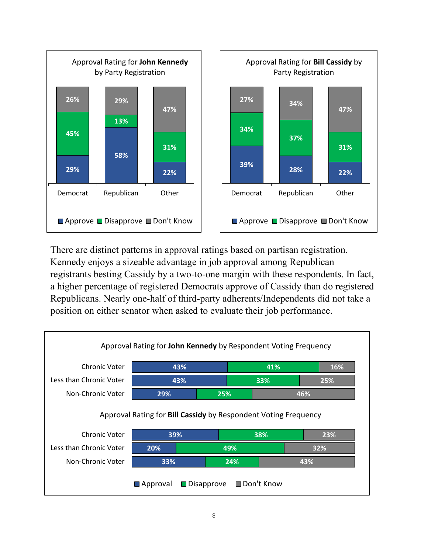

There are distinct patterns in approval ratings based on partisan registration. Kennedy enjoys a sizeable advantage in job approval among Republican registrants besting Cassidy by a two-to-one margin with these respondents. In fact, a higher percentage of registered Democrats approve of Cassidy than do registered Republicans. Nearly one-half of third-party adherents/Independents did not take a position on either senator when asked to evaluate their job performance.

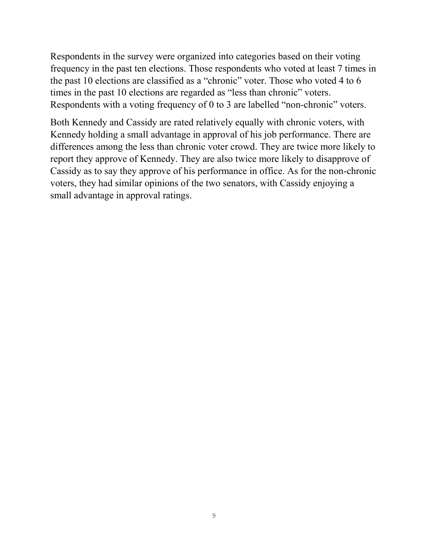Respondents in the survey were organized into categories based on their voting frequency in the past ten elections. Those respondents who voted at least 7 times in the past 10 elections are classified as a "chronic" voter. Those who voted 4 to 6 times in the past 10 elections are regarded as "less than chronic" voters. Respondents with a voting frequency of 0 to 3 are labelled "non-chronic" voters.

Both Kennedy and Cassidy are rated relatively equally with chronic voters, with Kennedy holding a small advantage in approval of his job performance. There are differences among the less than chronic voter crowd. They are twice more likely to report they approve of Kennedy. They are also twice more likely to disapprove of Cassidy as to say they approve of his performance in office. As for the non-chronic voters, they had similar opinions of the two senators, with Cassidy enjoying a small advantage in approval ratings.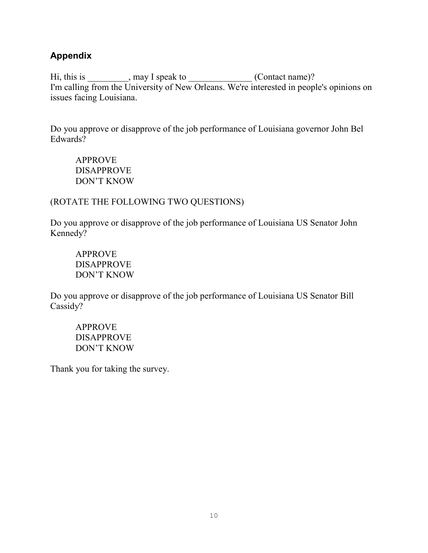#### **Appendix**

Hi, this is \_\_\_\_\_\_\_\_\_, may I speak to \_\_\_\_\_\_\_\_\_\_\_\_\_\_(Contact name)? I'm calling from the University of New Orleans. We're interested in people's opinions on issues facing Louisiana.

Do you approve or disapprove of the job performance of Louisiana governor John Bel Edwards?

APPROVE DISAPPROVE DON'T KNOW

#### (ROTATE THE FOLLOWING TWO QUESTIONS)

Do you approve or disapprove of the job performance of Louisiana US Senator John Kennedy?

APPROVE DISAPPROVE DON'T KNOW

Do you approve or disapprove of the job performance of Louisiana US Senator Bill Cassidy?

APPROVE DISAPPROVE DON'T KNOW

Thank you for taking the survey.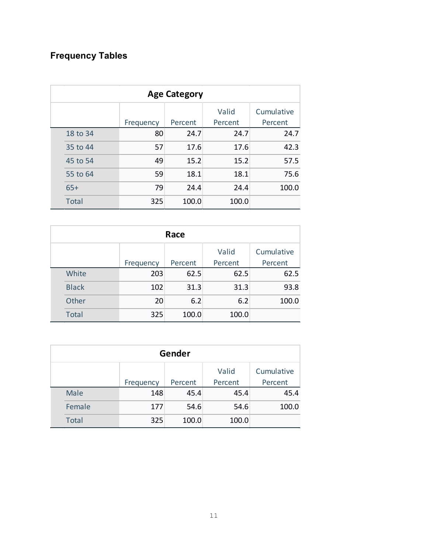# **Frequency Tables**

| <b>Age Category</b> |           |         |                  |                       |  |
|---------------------|-----------|---------|------------------|-----------------------|--|
|                     | Frequency | Percent | Valid<br>Percent | Cumulative<br>Percent |  |
| 18 to 34            | 80        | 24.7    | 24.7             | 24.7                  |  |
| 35 to 44            | 57        | 17.6    | 17.6             | 42.3                  |  |
| 45 to 54            | 49        | 15.2    | 15.2             | 57.5                  |  |
| 55 to 64            | 59        | 18.1    | 18.1             | 75.6                  |  |
| $65+$               | 79        | 24.4    | 24.4             | 100.0                 |  |
| <b>Total</b>        | 325       | 100.0   | 100.0            |                       |  |

| Race |              |           |         |         |            |
|------|--------------|-----------|---------|---------|------------|
|      |              |           |         | Valid   | Cumulative |
|      |              | Frequency | Percent | Percent | Percent    |
|      | White        | 203       | 62.5    | 62.5    | 62.5       |
|      | <b>Black</b> | 102       | 31.3    | 31.3    | 93.8       |
|      | Other        | 20        | 6.2     | 6.2     | 100.0      |
|      | <b>Total</b> | 325       | 100.0   | 100.0   |            |

| Gender |              |           |         |                  |                       |
|--------|--------------|-----------|---------|------------------|-----------------------|
|        |              | Frequency | Percent | Valid<br>Percent | Cumulative<br>Percent |
|        | Male         | 148       | 45.4    | 45.4             | 45.4                  |
|        | Female       | 177       | 54.6    | 54.6             | 100.0                 |
|        | <b>Total</b> | 325       | 100.0   | 100.0            |                       |